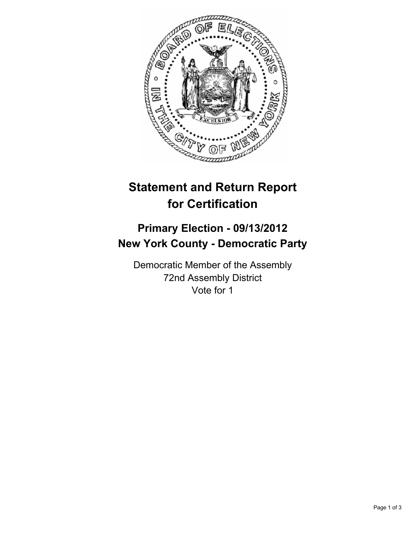

## **Statement and Return Report for Certification**

## **Primary Election - 09/13/2012 New York County - Democratic Party**

Democratic Member of the Assembly 72nd Assembly District Vote for 1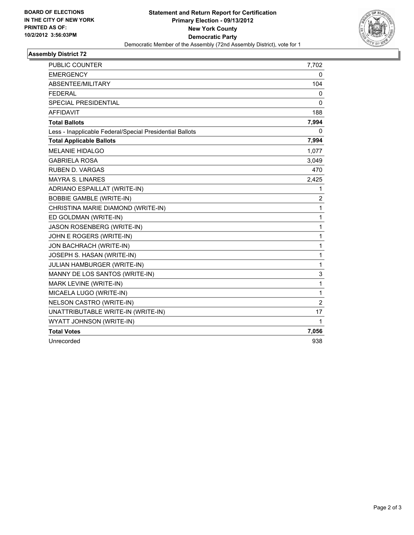

## **Assembly District 72**

| <b>PUBLIC COUNTER</b>                                    | 7,702                   |
|----------------------------------------------------------|-------------------------|
| <b>EMERGENCY</b>                                         | 0                       |
| ABSENTEE/MILITARY                                        | 104                     |
| <b>FEDERAL</b>                                           | 0                       |
| <b>SPECIAL PRESIDENTIAL</b>                              | 0                       |
| <b>AFFIDAVIT</b>                                         | 188                     |
| <b>Total Ballots</b>                                     | 7,994                   |
| Less - Inapplicable Federal/Special Presidential Ballots | 0                       |
| <b>Total Applicable Ballots</b>                          | 7,994                   |
| <b>MELANIE HIDALGO</b>                                   | 1,077                   |
| <b>GABRIELA ROSA</b>                                     | 3,049                   |
| <b>RUBEN D. VARGAS</b>                                   | 470                     |
| <b>MAYRA S. LINARES</b>                                  | 2,425                   |
| ADRIANO ESPAILLAT (WRITE-IN)                             | 1                       |
| <b>BOBBIE GAMBLE (WRITE-IN)</b>                          | $\overline{\mathbf{c}}$ |
| CHRISTINA MARIE DIAMOND (WRITE-IN)                       | 1                       |
| ED GOLDMAN (WRITE-IN)                                    | 1                       |
| JASON ROSENBERG (WRITE-IN)                               | 1                       |
| JOHN E ROGERS (WRITE-IN)                                 | 1                       |
| JON BACHRACH (WRITE-IN)                                  | 1                       |
| JOSEPH S. HASAN (WRITE-IN)                               | 1                       |
| JULIAN HAMBURGER (WRITE-IN)                              | 1                       |
| MANNY DE LOS SANTOS (WRITE-IN)                           | 3                       |
| MARK LEVINE (WRITE-IN)                                   | 1                       |
| MICAELA LUGO (WRITE-IN)                                  | 1                       |
| NELSON CASTRO (WRITE-IN)                                 | $\overline{2}$          |
| UNATTRIBUTABLE WRITE-IN (WRITE-IN)                       | 17                      |
| WYATT JOHNSON (WRITE-IN)                                 | 1                       |
| <b>Total Votes</b>                                       | 7,056                   |
| Unrecorded                                               | 938                     |